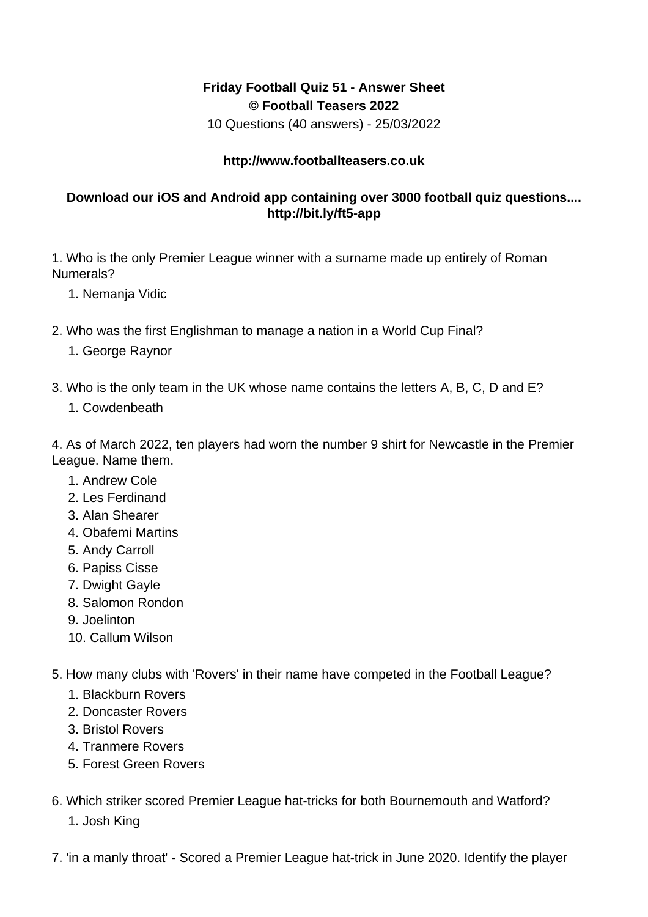## **Friday Football Quiz 51 - Answer Sheet © Football Teasers 2022**

10 Questions (40 answers) - 25/03/2022

## **http://www.footballteasers.co.uk**

## **Download our iOS and Android app containing over 3000 football quiz questions.... http://bit.ly/ft5-app**

1. Who is the only Premier League winner with a surname made up entirely of Roman Numerals?

- 1. Nemanja Vidic
- 2. Who was the first Englishman to manage a nation in a World Cup Final?
	- 1. George Raynor
- 3. Who is the only team in the UK whose name contains the letters A, B, C, D and E?
	- 1. Cowdenbeath

4. As of March 2022, ten players had worn the number 9 shirt for Newcastle in the Premier League. Name them.

- 1. Andrew Cole
- 2. Les Ferdinand
- 3. Alan Shearer
- 4. Obafemi Martins
- 5. Andy Carroll
- 6. Papiss Cisse
- 7. Dwight Gayle
- 8. Salomon Rondon
- 9. Joelinton
- 10. Callum Wilson
- 5. How many clubs with 'Rovers' in their name have competed in the Football League?
	- 1. Blackburn Rovers
	- 2. Doncaster Rovers
	- 3. Bristol Rovers
	- 4. Tranmere Rovers
	- 5. Forest Green Rovers
- 6. Which striker scored Premier League hat-tricks for both Bournemouth and Watford?
	- 1. Josh King

7. 'in a manly throat' - Scored a Premier League hat-trick in June 2020. Identify the player